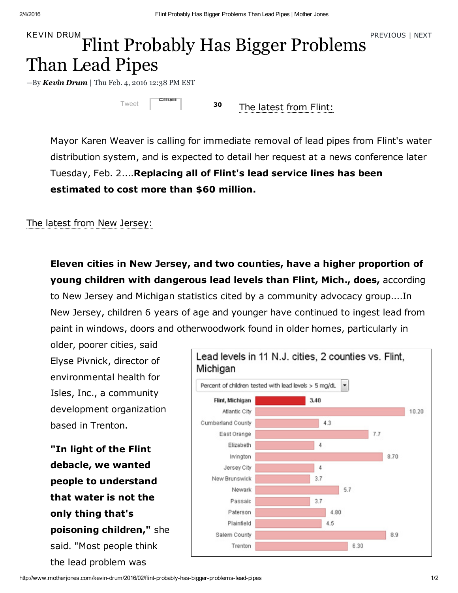## $\sum_{k \in \mathcal{N} \text{IN}} P_k$  Fractious | [NEXT](http://www.motherjones.com/kevin-drum/2016/02/donald-trump-losing-steam-after-iowa-loss)  $\sum_{k \in \mathcal{N}} P_k$  FREVIOUS | NEXT Than Lead Pipes

 $-By$  [Kevin](http://www.motherjones.com/authors/kevin-drum) Drum | Thu Feb. 4, 2016 12:38 PM EST

[Tweet](https://twitter.com/share) [30](http://www.motherjones.com/kevin-drum/2016/02/flint-probably-has-bigger-problems-lead-pipes#disqus_thread)  $E$ mail

The [latest](http://www.mlive.com/news/flint/index.ssf/2016/02/flint_mayor_karen_weaver_calls.html) from Flint:

Mayor Karen Weaver is calling for immediate removal of lead pipes from Flint's water distribution system, and is expected to detail her request at a news conference later Tuesday, Feb. 2....Replacing all of Flint's lead service lines has been estimated to cost more than \$60 million.

## The latest from New [Jersey:](http://www.nj.com/news/index.ssf/2016/02/11_cities_in_jersey_have_more_lead-affected_kids_t.html)

Eleven cities in New Jersey, and two counties, have a higher proportion of young children with dangerous lead levels than Flint, Mich., does, according to New Jersey and Michigan statistics cited by a community advocacy group....In New Jersey, children 6 years of age and younger have continued to ingest lead from paint in windows, doors and otherwoodwork found in older homes, particularly in

older, poorer cities, said Elyse Pivnick, director of environmental health for Isles, Inc., a community development organization based in Trenton.

"In light of the Flint debacle, we wanted people to understand that water is not the only thing that's poisoning children," she said. "Most people think the lead problem was